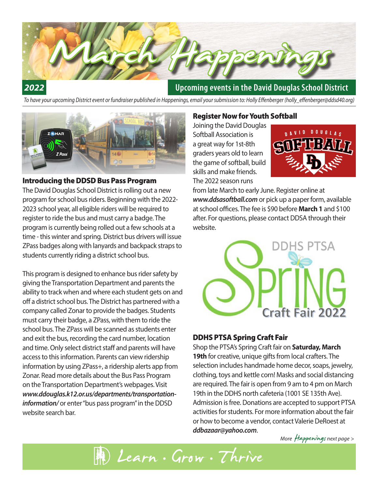

#### *2022*

#### **Upcoming events in the David Douglas School District**

*To have your upcoming District event or fundraiser published in Happenings, email your submission to: Holly Effenberger (holly\_effenberger@ddsd40.org)*



#### Introducing the DDSD Bus Pass Program

The David Douglas School District is rolling out a new program for school bus riders. Beginning with the 2022- 2023 school year, all eligible riders will be required to register to ride the bus and must carry a badge. The program is currently being rolled out a few schools at a time - this winter and spring. District bus drivers will issue ZPass badges along with lanyards and backpack straps to students currently riding a district school bus.

This program is designed to enhance bus rider safety by giving the Transportation Department and parents the ability to track when and where each student gets on and off a district school bus. The District has partnered with a company called Zonar to provide the badges. Students must carry their badge, a ZPass, with them to ride the school bus. The ZPass will be scanned as students enter and exit the bus, recording the card number, location and time. Only select district staff and parents will have access to this information. Parents can view ridership information by using ZPass+, a ridership alerts app from Zonar. Read more details about the Bus Pass Program on the Transportation Department's webpages. Visit *www.ddouglas.k12.or.us/departments/transportationinformation/* or enter "bus pass program" in the DDSD website search bar.

#### Register Now for Youth Softball

Joining the David Douglas Softball Association is a great way for 1st-8th graders years old to learn the game of softball, build skills and make friends. The 2022 season runs



from late March to early June. Register online at *www.ddsasoftball.com* or pick up a paper form, available at school offices. The fee is \$90 before **March 1** and \$100 after. For questions, please contact DDSA through their website.



#### DDHS PTSA Spring Craft Fair

Shop the PTSA's Spring Craft fair on **Saturday, March 19th** for creative, unique gifts from local crafters. The selection includes handmade home decor, soaps, jewelry, clothing, toys and kettle corn! Masks and social distancing are required. The fair is open from 9 am to 4 pm on March 19th in the DDHS north cafeteria (1001 SE 135th Ave). Admission is free. Donations are accepted to support PTSA activities for students. For more information about the fair or how to become a vendor, contact Valerie DeRoest at *ddbazaar@yahoo.com*.

*More* Happenings *next page* >